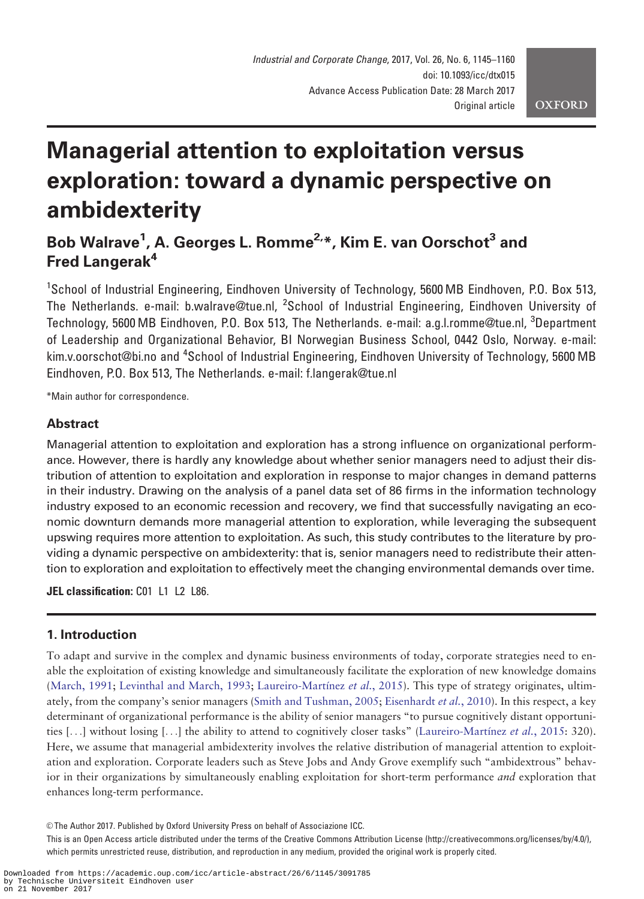# Managerial attention to exploitation versus exploration: toward a dynamic perspective on ambidexterity

# Bob Walrave<sup>1</sup>, A. Georges L. Romme<sup>2,</sup>\*, Kim E. van Oorschot<sup>3</sup> and Fred Langerak<sup>4</sup>

<sup>1</sup>School of Industrial Engineering, Eindhoven University of Technology, 5600 MB Eindhoven, P.O. Box 513, The Netherlands. e-mail: b.walrave@tue.nl, <sup>2</sup>School of Industrial Engineering, Eindhoven University of Technology, 5600 MB Eindhoven, P.O. Box 513, The Netherlands. e-mail: a.g.l.romme@tue.nl, <sup>3</sup>Department of Leadership and Organizational Behavior, BI Norwegian Business School, 0442 Oslo, Norway. e-mail: kim.v.oorschot@bi.no and <sup>4</sup>School of Industrial Engineering, Eindhoven University of Technology, 5600 MB Eindhoven, P.O. Box 513, The Netherlands. e-mail: f.langerak@tue.nl

\*Main author for correspondence.

# **Abstract**

Managerial attention to exploitation and exploration has a strong influence on organizational performance. However, there is hardly any knowledge about whether senior managers need to adjust their distribution of attention to exploitation and exploration in response to major changes in demand patterns in their industry. Drawing on the analysis of a panel data set of 86 firms in the information technology industry exposed to an economic recession and recovery, we find that successfully navigating an economic downturn demands more managerial attention to exploration, while leveraging the subsequent upswing requires more attention to exploitation. As such, this study contributes to the literature by providing a dynamic perspective on ambidexterity: that is, senior managers need to redistribute their attention to exploration and exploitation to effectively meet the changing environmental demands over time.

JEL classification: C01 L1 L2 L86.

# 1. Introduction

To adapt and survive in the complex and dynamic business environments of today, corporate strategies need to enable the exploitation of existing knowledge and simultaneously facilitate the exploration of new knowledge domains [\(March, 1991](#page-13-0); [Levinthal and March, 1993](#page-13-0); [Laureiro-Mart](#page-13-0)ínez et al.[, 2015](#page-13-0)). This type of strategy originates, ultim-ately, from the company's senior managers [\(Smith and Tushman, 2005;](#page-14-0) [Eisenhardt](#page-13-0) et al., 2010). In this respect, a key determinant of organizational performance is the ability of senior managers "to pursue cognitively distant opportuni-ties [...] without losing [...] the ability to attend to cognitively closer tasks" ([Laureiro-Mart](#page-13-0)ínez et al.[, 2015:](#page-13-0) 320). Here, we assume that managerial ambidexterity involves the relative distribution of managerial attention to exploitation and exploration. Corporate leaders such as Steve Jobs and Andy Grove exemplify such "ambidextrous" behavior in their organizations by simultaneously enabling exploitation for short-term performance *and* exploration that enhances long-term performance.

<sup>©</sup> The Author 2017. Published by Oxford University Press on behalf of Associazione ICC.

This is an Open Access article distributed under the terms of the Creative Commons Attribution License (http://creativecommons.org/licenses/by/4.0/), which permits unrestricted reuse, distribution, and reproduction in any medium, provided the original work is properly cited.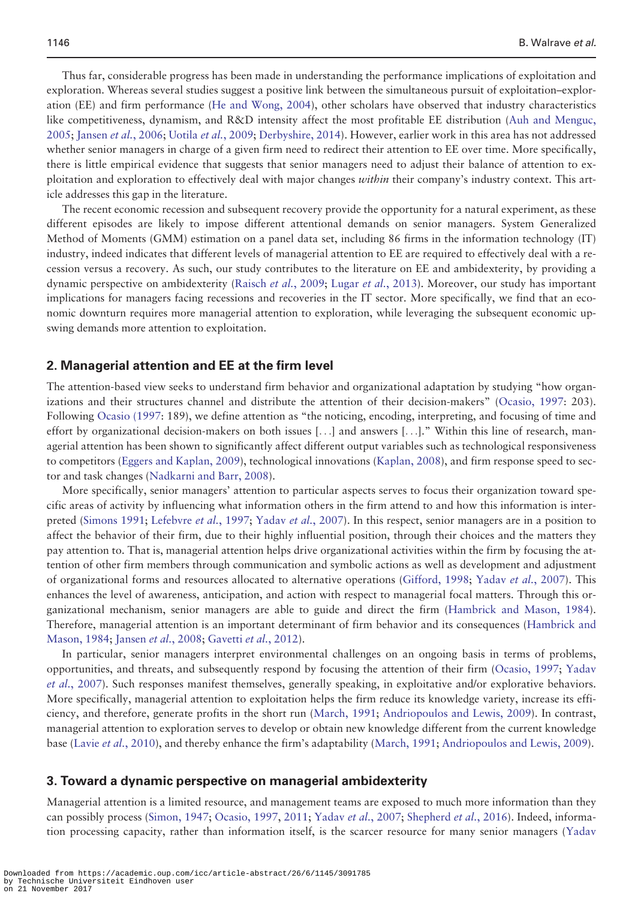Thus far, considerable progress has been made in understanding the performance implications of exploitation and exploration. Whereas several studies suggest a positive link between the simultaneous pursuit of exploitation–exploration (EE) and firm performance [\(He and Wong, 2004](#page-13-0)), other scholars have observed that industry characteristics like competitiveness, dynamism, and R&D intensity affect the most profitable EE distribution ([Auh and Menguc,](#page-12-0) [2005;](#page-12-0) [Jansen](#page-13-0) et al., 2006; Uotila et al.[, 2009](#page-14-0); [Derbyshire, 2014](#page-12-0)). However, earlier work in this area has not addressed whether senior managers in charge of a given firm need to redirect their attention to EE over time. More specifically, there is little empirical evidence that suggests that senior managers need to adjust their balance of attention to exploitation and exploration to effectively deal with major changes within their company's industry context. This article addresses this gap in the literature.

The recent economic recession and subsequent recovery provide the opportunity for a natural experiment, as these different episodes are likely to impose different attentional demands on senior managers. System Generalized Method of Moments (GMM) estimation on a panel data set, including 86 firms in the information technology (IT) industry, indeed indicates that different levels of managerial attention to EE are required to effectively deal with a recession versus a recovery. As such, our study contributes to the literature on EE and ambidexterity, by providing a dynamic perspective on ambidexterity [\(Raisch](#page-14-0) et al., 2009; Lugar et al.[, 2013](#page-13-0)). Moreover, our study has important implications for managers facing recessions and recoveries in the IT sector. More specifically, we find that an economic downturn requires more managerial attention to exploration, while leveraging the subsequent economic upswing demands more attention to exploitation.

# 2. Managerial attention and EE at the firm level

The attention-based view seeks to understand firm behavior and organizational adaptation by studying "how organizations and their structures channel and distribute the attention of their decision-makers" ([Ocasio, 1997:](#page-14-0) 203). Following [Ocasio \(1997:](#page-14-0) 189), we define attention as "the noticing, encoding, interpreting, and focusing of time and effort by organizational decision-makers on both issues [...] and answers [...]." Within this line of research, managerial attention has been shown to significantly affect different output variables such as technological responsiveness to competitors [\(Eggers and Kaplan, 2009](#page-12-0)), technological innovations [\(Kaplan, 2008\)](#page-13-0), and firm response speed to sector and task changes ([Nadkarni and Barr, 2008](#page-13-0)).

More specifically, senior managers' attention to particular aspects serves to focus their organization toward specific areas of activity by influencing what information others in the firm attend to and how this information is inter-preted ([Simons 1991](#page-14-0); [Lefebvre](#page-13-0) et al., 1997; [Yadav](#page-15-0) et al., 2007). In this respect, senior managers are in a position to affect the behavior of their firm, due to their highly influential position, through their choices and the matters they pay attention to. That is, managerial attention helps drive organizational activities within the firm by focusing the attention of other firm members through communication and symbolic actions as well as development and adjustment of organizational forms and resources allocated to alternative operations [\(Gifford, 1998;](#page-13-0) Yadav et al.[, 2007](#page-15-0)). This enhances the level of awareness, anticipation, and action with respect to managerial focal matters. Through this organizational mechanism, senior managers are able to guide and direct the firm ([Hambrick and Mason, 1984](#page-13-0)). Therefore, managerial attention is an important determinant of firm behavior and its consequences ([Hambrick and](#page-13-0) [Mason, 1984;](#page-13-0) [Jansen](#page-13-0) et al., 2008; [Gavetti](#page-13-0) et al., 2012).

In particular, senior managers interpret environmental challenges on an ongoing basis in terms of problems, opportunities, and threats, and subsequently respond by focusing the attention of their firm ([Ocasio, 1997](#page-14-0); [Yadav](#page-15-0) et al.[, 2007\)](#page-15-0). Such responses manifest themselves, generally speaking, in exploitative and/or explorative behaviors. More specifically, managerial attention to exploitation helps the firm reduce its knowledge variety, increase its efficiency, and therefore, generate profits in the short run [\(March, 1991;](#page-13-0) [Andriopoulos and Lewis, 2009\)](#page-12-0). In contrast, managerial attention to exploration serves to develop or obtain new knowledge different from the current knowledge base (Lavie et al.[, 2010](#page-13-0)), and thereby enhance the firm's adaptability [\(March, 1991](#page-13-0); [Andriopoulos and Lewis, 2009\)](#page-12-0).

#### 3. Toward a dynamic perspective on managerial ambidexterity

Managerial attention is a limited resource, and management teams are exposed to much more information than they can possibly process [\(Simon, 1947;](#page-14-0) [Ocasio, 1997](#page-14-0), [2011;](#page-14-0) Yadav et al.[, 2007;](#page-15-0) [Shepherd](#page-14-0) et al., 2016). Indeed, information processing capacity, rather than information itself, is the scarcer resource for many senior managers ([Yadav](#page-15-0)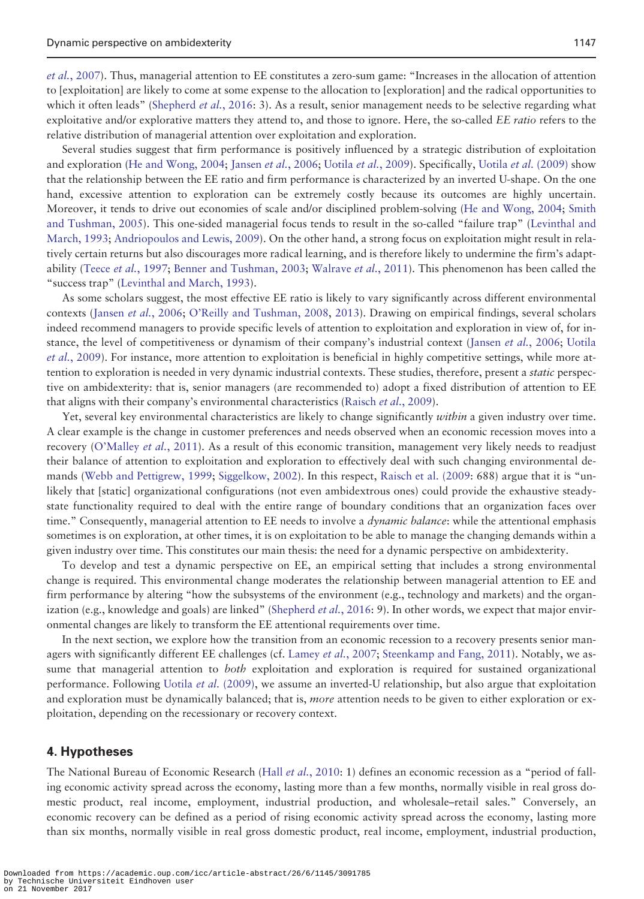et al.[, 2007\)](#page-15-0). Thus, managerial attention to EE constitutes a zero-sum game: "Increases in the allocation of attention to [exploitation] are likely to come at some expense to the allocation to [exploration] and the radical opportunities to which it often leads" [\(Shepherd](#page-14-0) et al., 2016: 3). As a result, senior management needs to be selective regarding what exploitative and/or explorative matters they attend to, and those to ignore. Here, the so-called *EE ratio* refers to the relative distribution of managerial attention over exploitation and exploration.

Several studies suggest that firm performance is positively influenced by a strategic distribution of exploitation and exploration ([He and Wong, 2004](#page-13-0); [Jansen](#page-13-0) et al., 2006; Uotila et al.[, 2009\)](#page-14-0). Specifically, Uotila et al. [\(2009\)](#page-14-0) show that the relationship between the EE ratio and firm performance is characterized by an inverted U-shape. On the one hand, excessive attention to exploration can be extremely costly because its outcomes are highly uncertain. Moreover, it tends to drive out economies of scale and/or disciplined problem-solving ([He and Wong, 2004;](#page-13-0) [Smith](#page-14-0) [and Tushman, 2005\)](#page-14-0). This one-sided managerial focus tends to result in the so-called "failure trap" [\(Levinthal and](#page-13-0) [March, 1993;](#page-13-0) [Andriopoulos and Lewis, 2009](#page-12-0)). On the other hand, a strong focus on exploitation might result in relatively certain returns but also discourages more radical learning, and is therefore likely to undermine the firm's adapt-ability (Teece et al.[, 1997;](#page-14-0) [Benner and Tushman, 2003;](#page-12-0) [Walrave](#page-14-0) et al., 2011). This phenomenon has been called the "success trap" ([Levinthal and March, 1993\)](#page-13-0).

As some scholars suggest, the most effective EE ratio is likely to vary significantly across different environmental contexts [\(Jansen](#page-13-0) et al., 2006; [O'Reilly and Tushman, 2008,](#page-14-0) [2013\)](#page-14-0). Drawing on empirical findings, several scholars indeed recommend managers to provide specific levels of attention to exploitation and exploration in view of, for in-stance, the level of competitiveness or dynamism of their company's industrial context [\(Jansen](#page-13-0) *et al.*, 2006; [Uotila](#page-14-0) et al.[, 2009](#page-14-0)). For instance, more attention to exploitation is beneficial in highly competitive settings, while more attention to exploration is needed in very dynamic industrial contexts. These studies, therefore, present a static perspective on ambidexterity: that is, senior managers (are recommended to) adopt a fixed distribution of attention to EE that aligns with their company's environmental characteristics [\(Raisch](#page-14-0) et al., 2009).

Yet, several key environmental characteristics are likely to change significantly *within* a given industry over time. A clear example is the change in customer preferences and needs observed when an economic recession moves into a recovery [\(O'Malley](#page-14-0) *et al.*, 2011). As a result of this economic transition, management very likely needs to readjust their balance of attention to exploitation and exploration to effectively deal with such changing environmental demands ([Webb and Pettigrew, 1999](#page-15-0); [Siggelkow, 2002\)](#page-14-0). In this respect, [Raisch et al. \(2009:](#page-14-0) 688) argue that it is "unlikely that [static] organizational configurations (not even ambidextrous ones) could provide the exhaustive steadystate functionality required to deal with the entire range of boundary conditions that an organization faces over time." Consequently, managerial attention to EE needs to involve a *dynamic balance*: while the attentional emphasis sometimes is on exploration, at other times, it is on exploitation to be able to manage the changing demands within a given industry over time. This constitutes our main thesis: the need for a dynamic perspective on ambidexterity.

To develop and test a dynamic perspective on EE, an empirical setting that includes a strong environmental change is required. This environmental change moderates the relationship between managerial attention to EE and firm performance by altering "how the subsystems of the environment (e.g., technology and markets) and the organ-ization (e.g., knowledge and goals) are linked" ([Shepherd](#page-14-0) et al., 2016: 9). In other words, we expect that major environmental changes are likely to transform the EE attentional requirements over time.

In the next section, we explore how the transition from an economic recession to a recovery presents senior man-agers with significantly different EE challenges (cf. [Lamey](#page-13-0) et al., 2007; [Steenkamp and Fang, 2011\)](#page-14-0). Notably, we assume that managerial attention to *both* exploitation and exploration is required for sustained organizational performance. Following Uotila et al. [\(2009\)](#page-14-0), we assume an inverted-U relationship, but also argue that exploitation and exploration must be dynamically balanced; that is, *more* attention needs to be given to either exploration or exploitation, depending on the recessionary or recovery context.

#### 4. Hypotheses

The National Bureau of Economic Research (Hall et al.[, 2010](#page-13-0): 1) defines an economic recession as a "period of falling economic activity spread across the economy, lasting more than a few months, normally visible in real gross domestic product, real income, employment, industrial production, and wholesale–retail sales." Conversely, an economic recovery can be defined as a period of rising economic activity spread across the economy, lasting more than six months, normally visible in real gross domestic product, real income, employment, industrial production,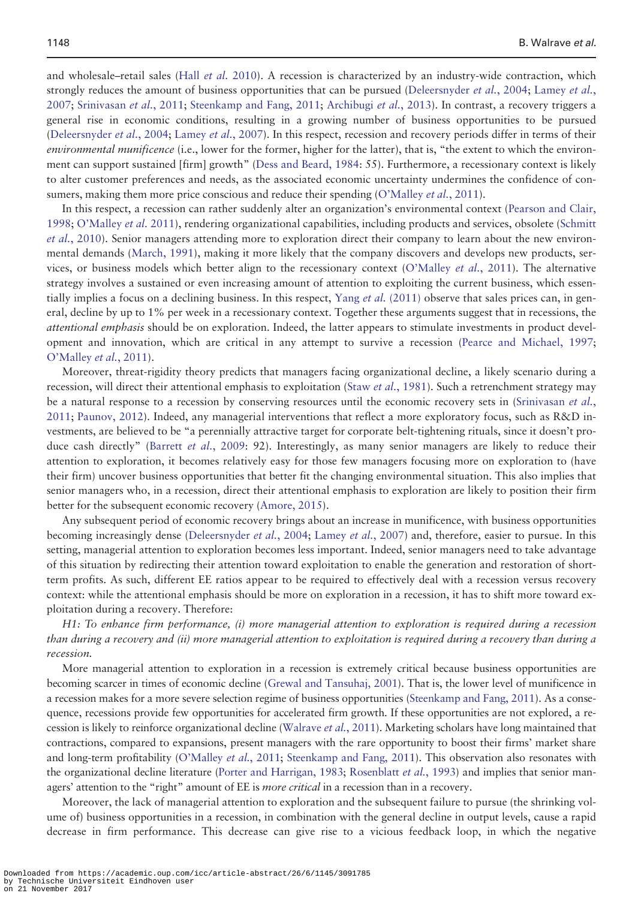and wholesale-retail sales (Hall [et al.](#page-13-0) 2010). A recession is characterized by an industry-wide contraction, which strongly reduces the amount of business opportunities that can be pursued ([Deleersnyder](#page-12-0) *et al.*, 2004; [Lamey](#page-13-0) *et al.*, [2007;](#page-13-0) [Srinivasan](#page-14-0) et al., 2011; [Steenkamp and Fang, 2011](#page-14-0); [Archibugi](#page-12-0) et al., 2013). In contrast, a recovery triggers a general rise in economic conditions, resulting in a growing number of business opportunities to be pursued [\(Deleersnyder](#page-12-0) et al., 2004; [Lamey](#page-13-0) et al., 2007). In this respect, recession and recovery periods differ in terms of their environmental munificence (i.e., lower for the former, higher for the latter), that is, "the extent to which the environment can support sustained [firm] growth" [\(Dess and Beard, 1984](#page-12-0): 55). Furthermore, a recessionary context is likely to alter customer preferences and needs, as the associated economic uncertainty undermines the confidence of con-sumers, making them more price conscious and reduce their spending [\(O'Malley](#page-14-0) *et al.*, 2011).

In this respect, a recession can rather suddenly alter an organization's environmental context [\(Pearson and Clair,](#page-14-0) [1998;](#page-14-0) [O'Malley](#page-14-0) et al. 2011), rendering organizational capabilities, including products and services, obsolete [\(Schmitt](#page-14-0) et al.[, 2010\)](#page-14-0). Senior managers attending more to exploration direct their company to learn about the new environmental demands ([March, 1991](#page-13-0)), making it more likely that the company discovers and develops new products, ser-vices, or business models which better align to the recessionary context [\(O'Malley](#page-14-0) *et al.*, 2011). The alternative strategy involves a sustained or even increasing amount of attention to exploiting the current business, which essen-tially implies a focus on a declining business. In this respect, Yang et al. [\(2011\)](#page-15-0) observe that sales prices can, in general, decline by up to 1% per week in a recessionary context. Together these arguments suggest that in recessions, the attentional emphasis should be on exploration. Indeed, the latter appears to stimulate investments in product development and innovation, which are critical in any attempt to survive a recession [\(Pearce and Michael, 1997;](#page-14-0) [O'Malley](#page-14-0) et al., 2011).

Moreover, threat-rigidity theory predicts that managers facing organizational decline, a likely scenario during a recession, will direct their attentional emphasis to exploitation (Staw et al.[, 1981\)](#page-14-0). Such a retrenchment strategy may be a natural response to a recession by conserving resources until the economic recovery sets in [\(Srinivasan](#page-14-0) et al., [2011;](#page-14-0) [Paunov, 2012](#page-14-0)). Indeed, any managerial interventions that reflect a more exploratory focus, such as R&D investments, are believed to be "a perennially attractive target for corporate belt-tightening rituals, since it doesn't pro-duce cash directly" ([Barrett](#page-12-0) et al., 2009: 92). Interestingly, as many senior managers are likely to reduce their attention to exploration, it becomes relatively easy for those few managers focusing more on exploration to (have their firm) uncover business opportunities that better fit the changing environmental situation. This also implies that senior managers who, in a recession, direct their attentional emphasis to exploration are likely to position their firm better for the subsequent economic recovery ([Amore, 2015\)](#page-12-0).

Any subsequent period of economic recovery brings about an increase in munificence, with business opportunities becoming increasingly dense [\(Deleersnyder](#page-12-0) et al., 2004; [Lamey](#page-13-0) et al., 2007) and, therefore, easier to pursue. In this setting, managerial attention to exploration becomes less important. Indeed, senior managers need to take advantage of this situation by redirecting their attention toward exploitation to enable the generation and restoration of shortterm profits. As such, different EE ratios appear to be required to effectively deal with a recession versus recovery context: while the attentional emphasis should be more on exploration in a recession, it has to shift more toward exploitation during a recovery. Therefore:

H1: To enhance firm performance, (i) more managerial attention to exploration is required during a recession than during a recovery and (ii) more managerial attention to exploitation is required during a recovery than during a recession.

More managerial attention to exploration in a recession is extremely critical because business opportunities are becoming scarcer in times of economic decline [\(Grewal and Tansuhaj, 2001](#page-13-0)). That is, the lower level of munificence in a recession makes for a more severe selection regime of business opportunities ([Steenkamp and Fang, 2011\)](#page-14-0). As a consequence, recessions provide few opportunities for accelerated firm growth. If these opportunities are not explored, a recession is likely to reinforce organizational decline [\(Walrave](#page-14-0) et al., 2011). Marketing scholars have long maintained that contractions, compared to expansions, present managers with the rare opportunity to boost their firms' market share and long-term profitability ([O'Malley](#page-14-0) et al., 2011; [Steenkamp and Fang, 2011\)](#page-14-0). This observation also resonates with the organizational decline literature [\(Porter and Harrigan, 1983;](#page-14-0) [Rosenblatt](#page-14-0) *et al.*, 1993) and implies that senior managers' attention to the "right" amount of EE is more critical in a recession than in a recovery.

Moreover, the lack of managerial attention to exploration and the subsequent failure to pursue (the shrinking volume of) business opportunities in a recession, in combination with the general decline in output levels, cause a rapid decrease in firm performance. This decrease can give rise to a vicious feedback loop, in which the negative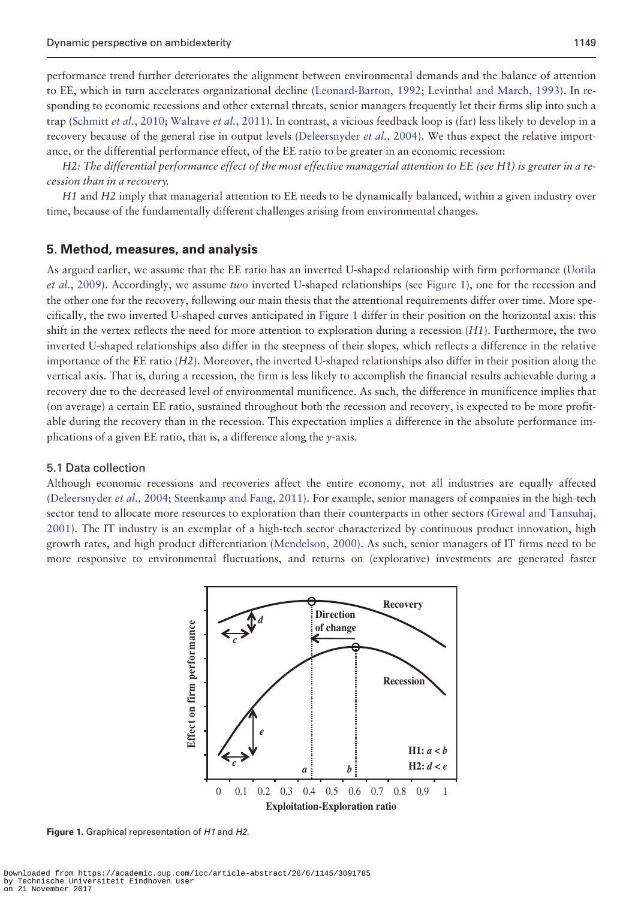performance trend further deteriorates the alignment between environmental demands and the balance of attention to EE, which in turn accelerates organizational decline [\(Leonard-Barton, 1992;](#page-13-0) [Levinthal and March, 1993\)](#page-13-0). In responding to economic recessions and other external threats, senior managers frequently let their firms slip into such a trap [\(Schmitt](#page-14-0) et al., 2010; [Walrave](#page-14-0) et al., 2011). In contrast, a vicious feedback loop is (far) less likely to develop in a recovery because of the general rise in output levels [\(Deleersnyder](#page-12-0) *et al.*, 2004). We thus expect the relative importance, or the differential performance effect, of the EE ratio to be greater in an economic recession:

H2: The differential performance effect of the most effective managerial attention to EE (see H1) is greater in a recession than in a recovery.

H1 and H2 imply that managerial attention to EE needs to be dynamically balanced, within a given industry over time, because of the fundamentally different challenges arising from environmental changes.

#### 5. Method, measures, and analysis

As argued earlier, we assume that the EE ratio has an inverted U-shaped relationship with firm performance ([Uotila](#page-14-0) et al.[, 2009\)](#page-14-0). Accordingly, we assume two inverted U-shaped relationships (see Figure 1), one for the recession and the other one for the recovery, following our main thesis that the attentional requirements differ over time. More specifically, the two inverted U-shaped curves anticipated in Figure 1 differ in their position on the horizontal axis: this shift in the vertex reflects the need for more attention to exploration during a recession  $(H1)$ . Furthermore, the two inverted U-shaped relationships also differ in the steepness of their slopes, which reflects a difference in the relative importance of the EE ratio  $(H2)$ . Moreover, the inverted U-shaped relationships also differ in their position along the vertical axis. That is, during a recession, the firm is less likely to accomplish the financial results achievable during a recovery due to the decreased level of environmental munificence. As such, the difference in munificence implies that (on average) a certain EE ratio, sustained throughout both the recession and recovery, is expected to be more profitable during the recovery than in the recession. This expectation implies a difference in the absolute performance implications of a given EE ratio, that is, a difference along the y-axis.

# 5.1 Data collection

Although economic recessions and recoveries affect the entire economy, not all industries are equally affected [\(Deleersnyder](#page-12-0) et al., 2004; [Steenkamp and Fang, 2011\)](#page-14-0). For example, senior managers of companies in the high-tech sector tend to allocate more resources to exploration than their counterparts in other sectors [\(Grewal and Tansuhaj,](#page-13-0) [2001\)](#page-13-0). The IT industry is an exemplar of a high-tech sector characterized by continuous product innovation, high growth rates, and high product differentiation [\(Mendelson, 2000\)](#page-13-0). As such, senior managers of IT firms need to be more responsive to environmental fluctuations, and returns on (explorative) investments are generated faster



Figure 1. Graphical representation of H1 and H2.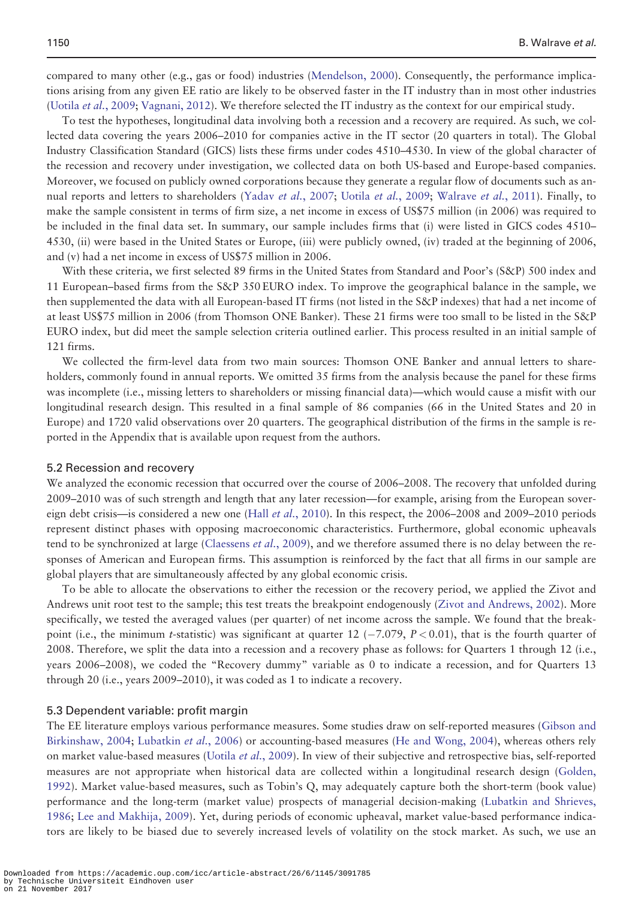compared to many other (e.g., gas or food) industries [\(Mendelson, 2000\)](#page-13-0). Consequently, the performance implications arising from any given EE ratio are likely to be observed faster in the IT industry than in most other industries (Uotila et al.[, 2009;](#page-14-0) [Vagnani, 2012](#page-14-0)). We therefore selected the IT industry as the context for our empirical study.

To test the hypotheses, longitudinal data involving both a recession and a recovery are required. As such, we collected data covering the years 2006–2010 for companies active in the IT sector (20 quarters in total). The Global Industry Classification Standard (GICS) lists these firms under codes 4510–4530. In view of the global character of the recession and recovery under investigation, we collected data on both US-based and Europe-based companies. Moreover, we focused on publicly owned corporations because they generate a regular flow of documents such as an-nual reports and letters to shareholders (Yadav et al.[, 2007;](#page-15-0) Uotila et al.[, 2009](#page-14-0); [Walrave](#page-14-0) et al., 2011). Finally, to make the sample consistent in terms of firm size, a net income in excess of US\$75 million (in 2006) was required to be included in the final data set. In summary, our sample includes firms that (i) were listed in GICS codes 4510– 4530, (ii) were based in the United States or Europe, (iii) were publicly owned, (iv) traded at the beginning of 2006, and (v) had a net income in excess of US\$75 million in 2006.

With these criteria, we first selected 89 firms in the United States from Standard and Poor's (S&P) 500 index and 11 European–based firms from the S&P 350 EURO index. To improve the geographical balance in the sample, we then supplemented the data with all European-based IT firms (not listed in the S&P indexes) that had a net income of at least US\$75 million in 2006 (from Thomson ONE Banker). These 21 firms were too small to be listed in the S&P EURO index, but did meet the sample selection criteria outlined earlier. This process resulted in an initial sample of 121 firms.

We collected the firm-level data from two main sources: Thomson ONE Banker and annual letters to shareholders, commonly found in annual reports. We omitted 35 firms from the analysis because the panel for these firms was incomplete (i.e., missing letters to shareholders or missing financial data)—which would cause a misfit with our longitudinal research design. This resulted in a final sample of 86 companies (66 in the United States and 20 in Europe) and 1720 valid observations over 20 quarters. The geographical distribution of the firms in the sample is reported in the Appendix that is available upon request from the authors.

#### 5.2 Recession and recovery

We analyzed the economic recession that occurred over the course of 2006–2008. The recovery that unfolded during 2009–2010 was of such strength and length that any later recession—for example, arising from the European sovereign debt crisis—is considered a new one (Hall *et al.*[, 2010\)](#page-13-0). In this respect, the  $2006-2008$  and  $2009-2010$  periods represent distinct phases with opposing macroeconomic characteristics. Furthermore, global economic upheavals tend to be synchronized at large ([Claessens](#page-12-0) *et al.*, 2009), and we therefore assumed there is no delay between the responses of American and European firms. This assumption is reinforced by the fact that all firms in our sample are global players that are simultaneously affected by any global economic crisis.

To be able to allocate the observations to either the recession or the recovery period, we applied the Zivot and Andrews unit root test to the sample; this test treats the breakpoint endogenously ([Zivot and Andrews, 2002](#page-15-0)). More specifically, we tested the averaged values (per quarter) of net income across the sample. We found that the breakpoint (i.e., the minimum *t*-statistic) was significant at quarter 12 ( $-7.079$ ,  $P < 0.01$ ), that is the fourth quarter of 2008. Therefore, we split the data into a recession and a recovery phase as follows: for Quarters 1 through 12 (i.e., years 2006–2008), we coded the "Recovery dummy" variable as 0 to indicate a recession, and for Quarters 13 through 20 (i.e., years 2009–2010), it was coded as 1 to indicate a recovery.

#### 5.3 Dependent variable: profit margin

The EE literature employs various performance measures. Some studies draw on self-reported measures ([Gibson and](#page-13-0) [Birkinshaw, 2004;](#page-13-0) [Lubatkin](#page-13-0) et al., 2006) or accounting-based measures ([He and Wong, 2004\)](#page-13-0), whereas others rely on market value-based measures (Uotila *et al.*[, 2009\)](#page-14-0). In view of their subjective and retrospective bias, self-reported measures are not appropriate when historical data are collected within a longitudinal research design ([Golden,](#page-13-0) [1992\)](#page-13-0). Market value-based measures, such as Tobin's Q, may adequately capture both the short-term (book value) performance and the long-term (market value) prospects of managerial decision-making ([Lubatkin and Shrieves,](#page-13-0) [1986;](#page-13-0) [Lee and Makhija, 2009\)](#page-13-0). Yet, during periods of economic upheaval, market value-based performance indicators are likely to be biased due to severely increased levels of volatility on the stock market. As such, we use an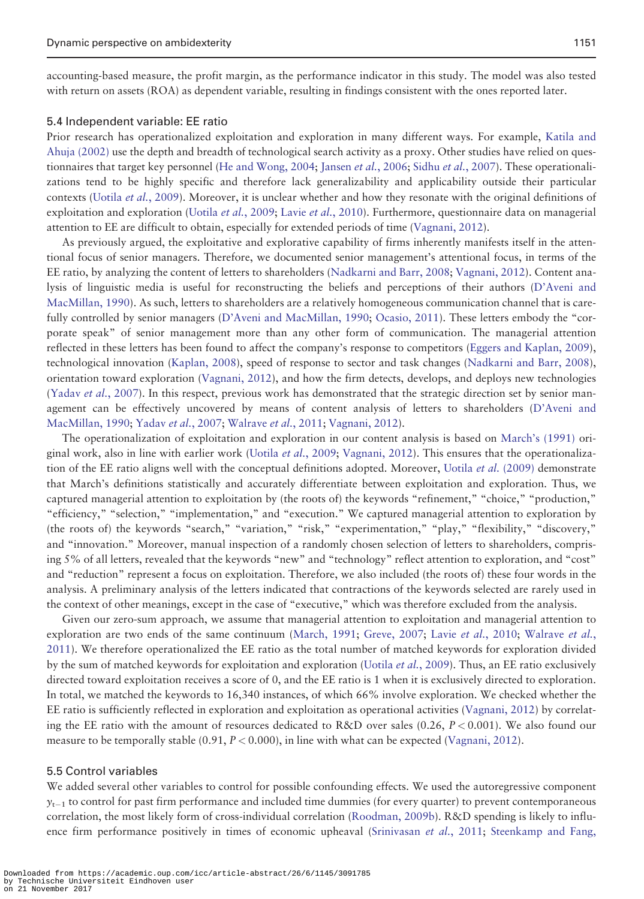accounting-based measure, the profit margin, as the performance indicator in this study. The model was also tested with return on assets (ROA) as dependent variable, resulting in findings consistent with the ones reported later.

#### 5.4 Independent variable: EE ratio

Prior research has operationalized exploitation and exploration in many different ways. For example, [Katila and](#page-13-0) [Ahuja \(2002\)](#page-13-0) use the depth and breadth of technological search activity as a proxy. Other studies have relied on ques-tionnaires that target key personnel ([He and Wong, 2004](#page-13-0); [Jansen](#page-13-0) *et al.*, 2006; Sidhu *et al.*[, 2007](#page-14-0)). These operationalizations tend to be highly specific and therefore lack generalizability and applicability outside their particular contexts (Uotila et al.[, 2009\)](#page-14-0). Moreover, it is unclear whether and how they resonate with the original definitions of exploitation and exploration (Uotila *et al.*[, 2009;](#page-14-0) Lavie *et al.*[, 2010](#page-13-0)). Furthermore, questionnaire data on managerial attention to EE are difficult to obtain, especially for extended periods of time ([Vagnani, 2012\)](#page-14-0).

As previously argued, the exploitative and explorative capability of firms inherently manifests itself in the attentional focus of senior managers. Therefore, we documented senior management's attentional focus, in terms of the EE ratio, by analyzing the content of letters to shareholders [\(Nadkarni and Barr, 2008;](#page-13-0) [Vagnani, 2012](#page-14-0)). Content analysis of linguistic media is useful for reconstructing the beliefs and perceptions of their authors [\(D'Aveni and](#page-12-0) [MacMillan, 1990\)](#page-12-0). As such, letters to shareholders are a relatively homogeneous communication channel that is carefully controlled by senior managers [\(D'Aveni and MacMillan, 1990](#page-12-0); [Ocasio, 2011](#page-14-0)). These letters embody the "corporate speak" of senior management more than any other form of communication. The managerial attention reflected in these letters has been found to affect the company's response to competitors [\(Eggers and Kaplan, 2009\)](#page-12-0), technological innovation ([Kaplan, 2008](#page-13-0)), speed of response to sector and task changes [\(Nadkarni and Barr, 2008](#page-13-0)), orientation toward exploration [\(Vagnani, 2012\)](#page-14-0), and how the firm detects, develops, and deploys new technologies [\(Yadav](#page-15-0) et al., 2007). In this respect, previous work has demonstrated that the strategic direction set by senior management can be effectively uncovered by means of content analysis of letters to shareholders [\(D'Aveni and](#page-12-0) [MacMillan, 1990;](#page-12-0) [Yadav](#page-15-0) et al., 2007; [Walrave](#page-14-0) et al., 2011; [Vagnani, 2012\)](#page-14-0).

The operationalization of exploitation and exploration in our content analysis is based on [March's \(1991\)](#page-13-0) ori-ginal work, also in line with earlier work (Uotila et al.[, 2009;](#page-14-0) [Vagnani, 2012](#page-14-0)). This ensures that the operationaliza-tion of the EE ratio aligns well with the conceptual definitions adopted. Moreover, Uotila et al. [\(2009\)](#page-14-0) demonstrate that March's definitions statistically and accurately differentiate between exploitation and exploration. Thus, we captured managerial attention to exploitation by (the roots of) the keywords "refinement," "choice," "production," "efficiency," "selection," "implementation," and "execution." We captured managerial attention to exploration by (the roots of) the keywords "search," "variation," "risk," "experimentation," "play," "flexibility," "discovery," and "innovation." Moreover, manual inspection of a randomly chosen selection of letters to shareholders, comprising 5% of all letters, revealed that the keywords "new" and "technology" reflect attention to exploration, and "cost" and "reduction" represent a focus on exploitation. Therefore, we also included (the roots of) these four words in the analysis. A preliminary analysis of the letters indicated that contractions of the keywords selected are rarely used in the context of other meanings, except in the case of "executive," which was therefore excluded from the analysis.

Given our zero-sum approach, we assume that managerial attention to exploitation and managerial attention to exploration are two ends of the same continuum [\(March, 1991](#page-13-0); [Greve, 2007](#page-13-0); Lavie et al.[, 2010;](#page-13-0) [Walrave](#page-14-0) et al., [2011\)](#page-14-0). We therefore operationalized the EE ratio as the total number of matched keywords for exploration divided by the sum of matched keywords for exploitation and exploration (Uotila et al.[, 2009](#page-14-0)). Thus, an EE ratio exclusively directed toward exploitation receives a score of 0, and the EE ratio is 1 when it is exclusively directed to exploration. In total, we matched the keywords to 16,340 instances, of which 66% involve exploration. We checked whether the EE ratio is sufficiently reflected in exploration and exploitation as operational activities ([Vagnani, 2012\)](#page-14-0) by correlating the EE ratio with the amount of resources dedicated to R&D over sales (0.26,  $P < 0.001$ ). We also found our measure to be temporally stable  $(0.91, P < 0.000)$ , in line with what can be expected [\(Vagnani, 2012](#page-14-0)).

#### 5.5 Control variables

We added several other variables to control for possible confounding effects. We used the autoregressive component  $y_{t-1}$  to control for past firm performance and included time dummies (for every quarter) to prevent contemporaneous correlation, the most likely form of cross-individual correlation ([Roodman, 2009b\)](#page-14-0). R&D spending is likely to influ-ence firm performance positively in times of economic upheaval [\(Srinivasan](#page-14-0) et al., 2011; [Steenkamp and Fang,](#page-14-0)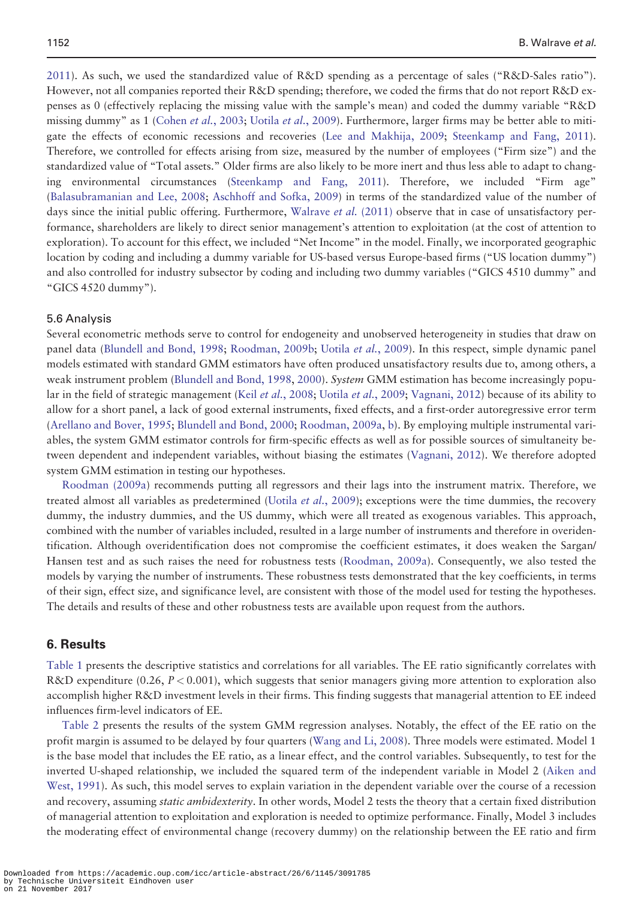[2011\)](#page-14-0). As such, we used the standardized value of R&D spending as a percentage of sales ("R&D-Sales ratio"). However, not all companies reported their R&D spending; therefore, we coded the firms that do not report R&D expenses as 0 (effectively replacing the missing value with the sample's mean) and coded the dummy variable "R&D missing dummy" as 1 ([Cohen](#page-12-0) et al., 2003; Uotila et al.[, 2009\)](#page-14-0). Furthermore, larger firms may be better able to mitigate the effects of economic recessions and recoveries [\(Lee and Makhija, 2009](#page-13-0); [Steenkamp and Fang, 2011](#page-14-0)). Therefore, we controlled for effects arising from size, measured by the number of employees ("Firm size") and the standardized value of "Total assets." Older firms are also likely to be more inert and thus less able to adapt to changing environmental circumstances [\(Steenkamp and Fang, 2011\)](#page-14-0). Therefore, we included "Firm age" [\(Balasubramanian and Lee, 2008](#page-12-0); [Aschhoff and Sofka, 2009](#page-12-0)) in terms of the standardized value of the number of days since the initial public offering. Furthermore, [Walrave](#page-14-0) et al. (2011) observe that in case of unsatisfactory performance, shareholders are likely to direct senior management's attention to exploitation (at the cost of attention to exploration). To account for this effect, we included "Net Income" in the model. Finally, we incorporated geographic location by coding and including a dummy variable for US-based versus Europe-based firms ("US location dummy") and also controlled for industry subsector by coding and including two dummy variables ("GICS 4510 dummy" and "GICS 4520 dummy").

#### 5.6 Analysis

Several econometric methods serve to control for endogeneity and unobserved heterogeneity in studies that draw on panel data ([Blundell and Bond, 1998](#page-12-0); [Roodman, 2009b;](#page-14-0) Uotila et al.[, 2009\)](#page-14-0). In this respect, simple dynamic panel models estimated with standard GMM estimators have often produced unsatisfactory results due to, among others, a weak instrument problem [\(Blundell and Bond, 1998,](#page-12-0) [2000](#page-12-0)). System GMM estimation has become increasingly popu-lar in the field of strategic management (Keil et al.[, 2008;](#page-13-0) Uotila et al.[, 2009](#page-14-0); [Vagnani, 2012\)](#page-14-0) because of its ability to allow for a short panel, a lack of good external instruments, fixed effects, and a first-order autoregressive error term [\(Arellano and Bover, 1995;](#page-12-0) [Blundell and Bond, 2000](#page-12-0); [Roodman, 2009a](#page-14-0), [b](#page-14-0)). By employing multiple instrumental variables, the system GMM estimator controls for firm-specific effects as well as for possible sources of simultaneity between dependent and independent variables, without biasing the estimates [\(Vagnani, 2012](#page-14-0)). We therefore adopted system GMM estimation in testing our hypotheses.

[Roodman \(2009a](#page-14-0)) recommends putting all regressors and their lags into the instrument matrix. Therefore, we treated almost all variables as predetermined (Uotila et al.[, 2009\)](#page-14-0); exceptions were the time dummies, the recovery dummy, the industry dummies, and the US dummy, which were all treated as exogenous variables. This approach, combined with the number of variables included, resulted in a large number of instruments and therefore in overidentification. Although overidentification does not compromise the coefficient estimates, it does weaken the Sargan/ Hansen test and as such raises the need for robustness tests [\(Roodman, 2009a](#page-14-0)). Consequently, we also tested the models by varying the number of instruments. These robustness tests demonstrated that the key coefficients, in terms of their sign, effect size, and significance level, are consistent with those of the model used for testing the hypotheses. The details and results of these and other robustness tests are available upon request from the authors.

#### 6. Results

[Table 1](#page-8-0) presents the descriptive statistics and correlations for all variables. The EE ratio significantly correlates with R&D expenditure (0.26,  $P < 0.001$ ), which suggests that senior managers giving more attention to exploration also accomplish higher R&D investment levels in their firms. This finding suggests that managerial attention to EE indeed influences firm-level indicators of EE.

[Table 2](#page-9-0) presents the results of the system GMM regression analyses. Notably, the effect of the EE ratio on the profit margin is assumed to be delayed by four quarters ([Wang and Li, 2008](#page-14-0)). Three models were estimated. Model 1 is the base model that includes the EE ratio, as a linear effect, and the control variables. Subsequently, to test for the inverted U-shaped relationship, we included the squared term of the independent variable in Model 2 ([Aiken and](#page-12-0) [West, 1991](#page-12-0)). As such, this model serves to explain variation in the dependent variable over the course of a recession and recovery, assuming *static ambidexterity*. In other words, Model 2 tests the theory that a certain fixed distribution of managerial attention to exploitation and exploration is needed to optimize performance. Finally, Model 3 includes the moderating effect of environmental change (recovery dummy) on the relationship between the EE ratio and firm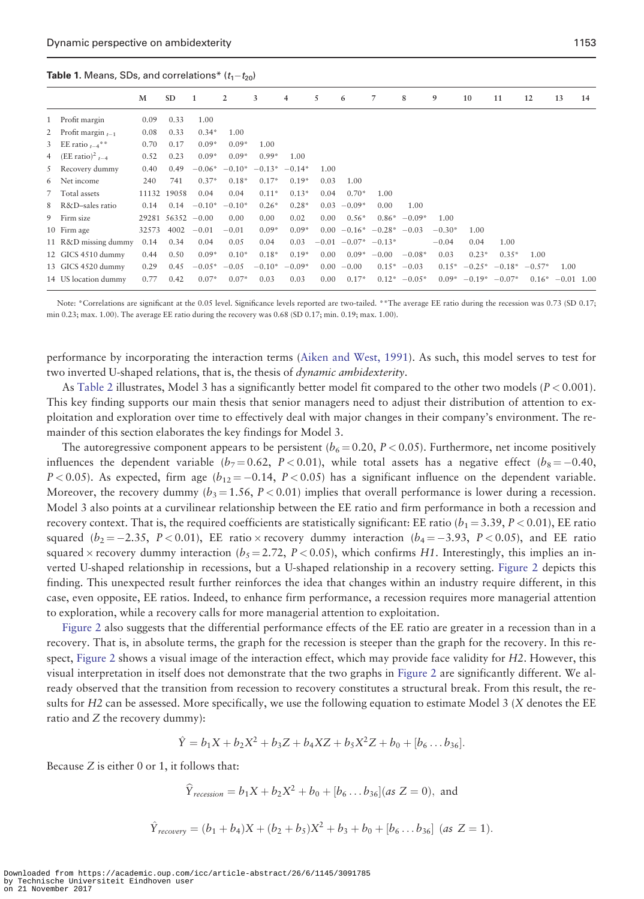<span id="page-8-0"></span>

| <b>Table 1.</b> Means, SDs, and correlations* $(t_1-t_{20})$ |       |             |          |          |          |                |      |                 |                             |                   |          |                              |                     |          |                      |    |
|--------------------------------------------------------------|-------|-------------|----------|----------|----------|----------------|------|-----------------|-----------------------------|-------------------|----------|------------------------------|---------------------|----------|----------------------|----|
|                                                              | M     | <b>SD</b>   | 1        | 2        | 3        | $\overline{4}$ | 5    | 6               | 7                           | 8                 | 9        | 10                           | 11                  | 12       | 13                   | 14 |
| 1 Profit margin                                              | 0.09  | 0.33        | 1.00     |          |          |                |      |                 |                             |                   |          |                              |                     |          |                      |    |
| 2 Profit margin $_{t-1}$                                     | 0.08  | 0.33        | $0.34*$  | 1.00     |          |                |      |                 |                             |                   |          |                              |                     |          |                      |    |
| 3 EE ratio $t_{-4}$ <sup>**</sup>                            | 0.70  | 0.17        | $0.09*$  | $0.09*$  | 1.00     |                |      |                 |                             |                   |          |                              |                     |          |                      |    |
| 4 (EE ratio) <sup>2</sup> $_{t=4}$                           | 0.52  | 0.23        | $0.09*$  | $0.09*$  | $0.99*$  | 1.00           |      |                 |                             |                   |          |                              |                     |          |                      |    |
| 5 Recovery dummy                                             | 0.40  | 0.49        | $-0.06*$ | $-0.10*$ | $-0.13*$ | $-0.14*$       | 1.00 |                 |                             |                   |          |                              |                     |          |                      |    |
| 6 Net income                                                 | 240   | 741         | $0.37*$  | $0.18*$  | $0.17*$  | $0.19*$        | 0.03 | 1.00            |                             |                   |          |                              |                     |          |                      |    |
| 7 Total assets                                               |       | 11132 19058 | 0.04     | 0.04     | $0.11*$  | $0.13*$        | 0.04 | $0.70*$         | 1.00                        |                   |          |                              |                     |          |                      |    |
| 8 R&D-sales ratio                                            | 0.14  | 0.14        | $-0.10*$ | $-0.10*$ | $0.26*$  | $0.28*$        | 0.03 | $-0.09*$        | 0.00                        | 1.00              |          |                              |                     |          |                      |    |
| 9 Firm size                                                  |       | 29281 56352 | $-0.00$  | 0.00     | 0.00     | 0.02           | 0.00 | $0.56*$         |                             | $0.86^* - 0.09^*$ | 1.00     |                              |                     |          |                      |    |
| 10 Firm age                                                  | 32573 | 4002        | $-0.01$  | $-0.01$  | $0.09*$  | $0.09*$        | 0.00 |                 | $-0.16^*$ $-0.28^*$ $-0.03$ |                   | $-0.30*$ | 1.00                         |                     |          |                      |    |
| 11 R&D missing dummy                                         | 0.14  | 0.34        | 0.04     | 0.05     | 0.04     | 0.03           |      | $-0.01 - 0.07*$ | $-0.13*$                    |                   | $-0.04$  | 0.04                         | 1.00                |          |                      |    |
| 12 GICS 4510 dummy                                           | 0.44  | 0.50        | $0.09*$  | $0.10*$  | $0.18*$  | $0.19*$        | 0.00 | $0.09*$         | $-0.00$                     | $-0.08*$          | 0.03     | $0.23*$                      | $0.35*$             | 1.00     |                      |    |
| 13 GICS 4520 dummy                                           | 0.29  | 0.45        | $-0.05*$ | $-0.05$  | $-0.10*$ | $-0.09*$       | 0.00 | $-0.00$         |                             | $0.15^* - 0.03$   |          | $0.15^*$ $-0.25^*$ $-0.18^*$ |                     | $-0.57*$ | 1.00                 |    |
| 14 US location dummy                                         | 0.77  | 0.42        | $0.07*$  | $0.07*$  | 0.03     | 0.03           | 0.00 | $0.17*$         |                             | $0.12^* -0.05^*$  | $0.09*$  |                              | $-0.19^*$ $-0.07^*$ |          | $0.16^* - 0.01$ 1.00 |    |

Note: \*Correlations are significant at the 0.05 level. Significance levels reported are two-tailed. \*\*The average EE ratio during the recession was 0.73 (SD 0.17; min 0.23; max. 1.00). The average EE ratio during the recovery was 0.68 (SD 0.17; min. 0.19; max. 1.00).

performance by incorporating the interaction terms ([Aiken and West, 1991\)](#page-12-0). As such, this model serves to test for two inverted U-shaped relations, that is, the thesis of dynamic ambidexterity.

As [Table 2](#page-9-0) illustrates, Model 3 has a significantly better model fit compared to the other two models  $(P < 0.001)$ . This key finding supports our main thesis that senior managers need to adjust their distribution of attention to exploitation and exploration over time to effectively deal with major changes in their company's environment. The remainder of this section elaborates the key findings for Model 3.

The autoregressive component appears to be persistent  $(b<sub>6</sub> = 0.20, P < 0.05)$ . Furthermore, net income positively influences the dependent variable ( $b_7 = 0.62$ ,  $P < 0.01$ ), while total assets has a negative effect ( $b_8 = -0.40$ ,  $P < 0.05$ ). As expected, firm age ( $b_{12} = -0.14$ ,  $P < 0.05$ ) has a significant influence on the dependent variable. Moreover, the recovery dummy ( $b_3 = 1.56$ ,  $P < 0.01$ ) implies that overall performance is lower during a recession. Model 3 also points at a curvilinear relationship between the EE ratio and firm performance in both a recession and recovery context. That is, the required coefficients are statistically significant: EE ratio  $(b_1 = 3.39, P < 0.01)$ , EE ratio squared ( $b_2 = -2.35$ ,  $P < 0.01$ ), EE ratio  $\times$  recovery dummy interaction ( $b_4 = -3.93$ ,  $P < 0.05$ ), and EE ratio squared  $\times$  recovery dummy interaction ( $b<sub>5</sub> = 2.72$ ,  $P < 0.05$ ), which confirms H1. Interestingly, this implies an inverted U-shaped relationship in recessions, but a U-shaped relationship in a recovery setting. [Figure 2](#page-9-0) depicts this finding. This unexpected result further reinforces the idea that changes within an industry require different, in this case, even opposite, EE ratios. Indeed, to enhance firm performance, a recession requires more managerial attention to exploration, while a recovery calls for more managerial attention to exploitation.

[Figure 2](#page-9-0) also suggests that the differential performance effects of the EE ratio are greater in a recession than in a recovery. That is, in absolute terms, the graph for the recession is steeper than the graph for the recovery. In this re-spect, [Figure 2](#page-9-0) shows a visual image of the interaction effect, which may provide face validity for H2. However, this visual interpretation in itself does not demonstrate that the two graphs in [Figure 2](#page-9-0) are significantly different. We already observed that the transition from recession to recovery constitutes a structural break. From this result, the results for H2 can be assessed. More specifically, we use the following equation to estimate Model 3 (X denotes the EE ratio and Z the recovery dummy):

$$
\hat{Y} = b_1 X + b_2 X^2 + b_3 Z + b_4 XZ + b_5 X^2 Z + b_0 + [b_6 \dots b_{36}].
$$

Because Z is either 0 or 1, it follows that:

$$
\widehat{Y}_{recession} = b_1 X + b_2 X^2 + b_0 + [b_6 \dots b_{36}] (as Z = 0)
$$
, and

$$
\hat{Y}_{recovery} = (b_1 + b_4)X + (b_2 + b_5)X^2 + b_3 + b_0 + [b_6 \dots b_{36}] \text{ (as } Z = 1).
$$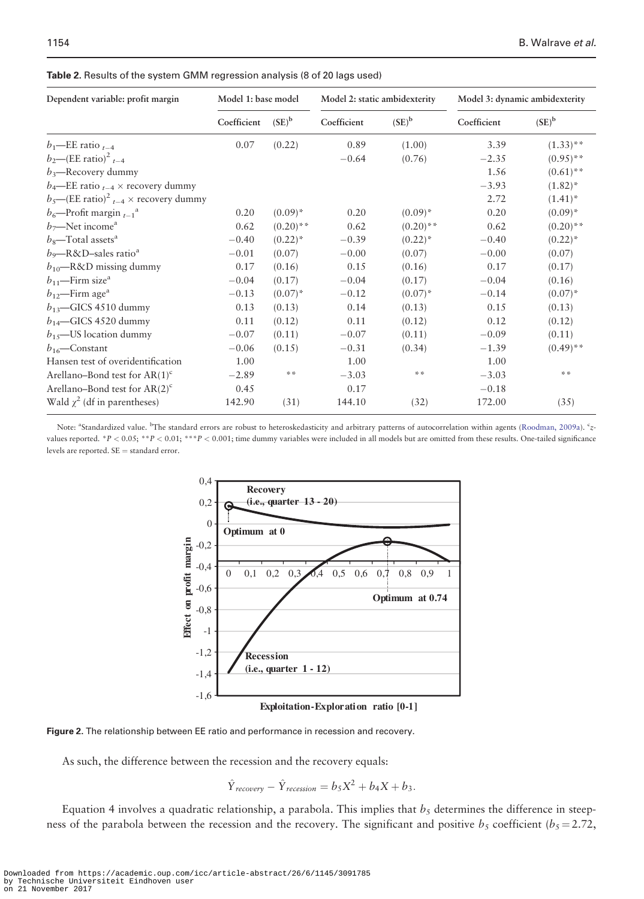<span id="page-9-0"></span>

| Dependent variable: profit margin                              | Model 1: base model |             |             | Model 2: static ambidexterity | Model 3: dynamic ambidexterity |             |  |
|----------------------------------------------------------------|---------------------|-------------|-------------|-------------------------------|--------------------------------|-------------|--|
|                                                                | Coefficient         | $(SE)^b$    | Coefficient | $(SE)^b$                      | Coefficient                    | $(SE)^b$    |  |
| $b_1$ —EE ratio $_{t=4}$                                       | 0.07                | (0.22)      | 0.89        | (1.00)                        | 3.39                           | $(1.33)$ ** |  |
| $b_2$ —(EE ratio) <sup>2</sup> <sub>t-4</sub>                  |                     |             | $-0.64$     | (0.76)                        | $-2.35$                        | $(0.95)$ ** |  |
| $b_3$ —Recovery dummy                                          |                     |             |             |                               | 1.56                           | $(0.61)$ ** |  |
| $b_4$ —EE ratio $_{t-4}$ × recovery dummy                      |                     |             |             |                               | $-3.93$                        | $(1.82)^*$  |  |
| $b_5$ —(EE ratio) <sup>2</sup> <sub>t-4</sub> × recovery dummy |                     |             |             |                               | 2.72                           | $(1.41)^*$  |  |
| $b_6$ —Profit margin $_{t-1}$ <sup>a</sup>                     | 0.20                | $(0.09)^*$  | 0.20        | $(0.09)^*$                    | 0.20                           | $(0.09)^*$  |  |
| $b_7$ —Net income <sup>a</sup>                                 | 0.62                | $(0.20)$ ** | 0.62        | $(0.20)$ **                   | 0.62                           | $(0.20)$ ** |  |
| $b_8$ —Total assets <sup>a</sup>                               | $-0.40$             | $(0.22)^*$  | $-0.39$     | $(0.22)^*$                    | $-0.40$                        | $(0.22)^*$  |  |
| $b_9$ —R&D-sales ratio <sup>a</sup>                            | $-0.01$             | (0.07)      | $-0.00$     | (0.07)                        | $-0.00$                        | (0.07)      |  |
| $b_{10}$ —R&D missing dummy                                    | 0.17                | (0.16)      | 0.15        | (0.16)                        | 0.17                           | (0.17)      |  |
| $b_{11}$ —Firm size <sup>a</sup>                               | $-0.04$             | (0.17)      | $-0.04$     | (0.17)                        | $-0.04$                        | (0.16)      |  |
| $b_{12}$ —Firm age <sup>a</sup>                                | $-0.13$             | $(0.07)^*$  | $-0.12$     | $(0.07)^*$                    | $-0.14$                        | $(0.07)^*$  |  |
| $b_{13}$ —GICS 4510 dummy                                      | 0.13                | (0.13)      | 0.14        | (0.13)                        | 0.15                           | (0.13)      |  |
| $b_{14}$ —GICS 4520 dummy                                      | 0.11                | (0.12)      | 0.11        | (0.12)                        | 0.12                           | (0.12)      |  |
| $b_{15}$ —US location dummy                                    | $-0.07$             | (0.11)      | $-0.07$     | (0.11)                        | $-0.09$                        | (0.11)      |  |
| $b_{16}$ —Constant                                             | $-0.06$             | (0.15)      | $-0.31$     | (0.34)                        | $-1.39$                        | $(0.49)$ ** |  |
| Hansen test of overidentification                              | 1.00                |             | 1.00        |                               | 1.00                           |             |  |
| Arellano-Bond test for $AR(1)^c$                               | $-2.89$             | **          | $-3.03$     | $\frac{16}{32}$               | $-3.03$                        | **          |  |
| Arellano-Bond test for $AR(2)^c$                               | 0.45                |             | 0.17        |                               | $-0.18$                        |             |  |
| Wald $\chi^2$ (df in parentheses)                              | 142.90              | (31)        | 144.10      | (32)                          | 172.00                         | (35)        |  |

Note: "Standardized value. <sup>b</sup>The standard errors are robust to heteroskedasticity and arbitrary patterns of autocorrelation within agents [\(Roodman, 2009a\)](#page-14-0). <sup>c</sup>zvalues reported. \*P < 0.05; \*\*P < 0.01; \*\*\*P < 0.001; time dummy variables were included in all models but are omitted from these results. One-tailed significance levels are reported.  $SE =$  standard error.



**Exploitation-Exploration ratio [0-1]**



As such, the difference between the recession and the recovery equals:

$$
\hat{Y}_{recovery} - \hat{Y}_{recession} = b_5 X^2 + b_4 X + b_3.
$$

Equation 4 involves a quadratic relationship, a parabola. This implies that  $b<sub>5</sub>$  determines the difference in steepness of the parabola between the recession and the recovery. The significant and positive  $b_5$  coefficient ( $b_5$  = 2.72,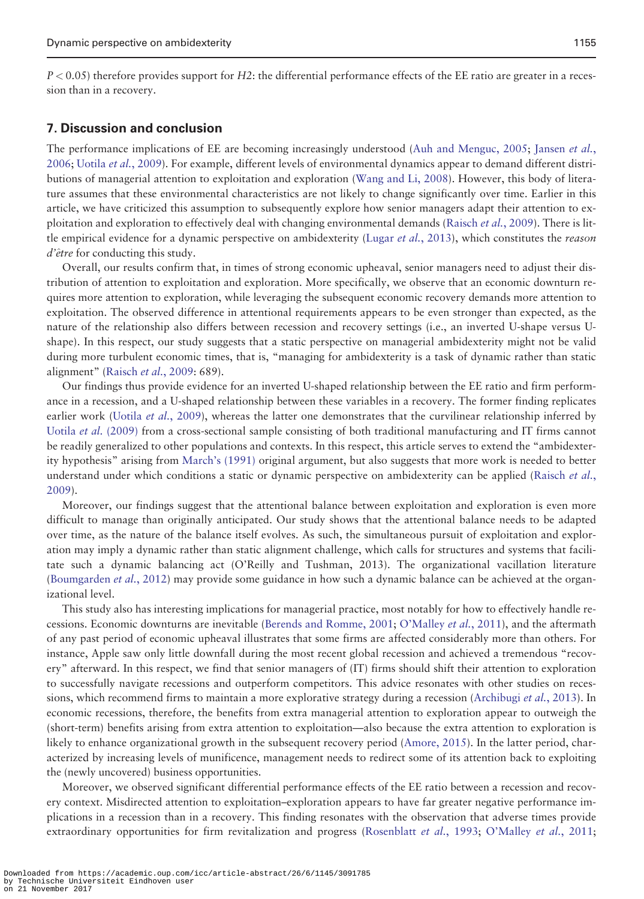$P < 0.05$ ) therefore provides support for H2: the differential performance effects of the EE ratio are greater in a recession than in a recovery.

# 7. Discussion and conclusion

The performance implications of EE are becoming increasingly understood [\(Auh and Menguc, 2005;](#page-12-0) [Jansen](#page-13-0) *et al.*, [2006;](#page-13-0) Uotila et al.[, 2009](#page-14-0)). For example, different levels of environmental dynamics appear to demand different distributions of managerial attention to exploitation and exploration ([Wang and Li, 2008](#page-14-0)). However, this body of literature assumes that these environmental characteristics are not likely to change significantly over time. Earlier in this article, we have criticized this assumption to subsequently explore how senior managers adapt their attention to ex-ploitation and exploration to effectively deal with changing environmental demands [\(Raisch](#page-14-0) et al., 2009). There is lit-tle empirical evidence for a dynamic perspective on ambidexterity (Lugar et al.[, 2013](#page-13-0)), which constitutes the reason  $d$ 'être for conducting this study.

Overall, our results confirm that, in times of strong economic upheaval, senior managers need to adjust their distribution of attention to exploitation and exploration. More specifically, we observe that an economic downturn requires more attention to exploration, while leveraging the subsequent economic recovery demands more attention to exploitation. The observed difference in attentional requirements appears to be even stronger than expected, as the nature of the relationship also differs between recession and recovery settings (i.e., an inverted U-shape versus Ushape). In this respect, our study suggests that a static perspective on managerial ambidexterity might not be valid during more turbulent economic times, that is, "managing for ambidexterity is a task of dynamic rather than static alignment" [\(Raisch](#page-14-0) et al., 2009: 689).

Our findings thus provide evidence for an inverted U-shaped relationship between the EE ratio and firm performance in a recession, and a U-shaped relationship between these variables in a recovery. The former finding replicates earlier work (Uotila et al.[, 2009\)](#page-14-0), whereas the latter one demonstrates that the curvilinear relationship inferred by Uotila et al. [\(2009\)](#page-14-0) from a cross-sectional sample consisting of both traditional manufacturing and IT firms cannot be readily generalized to other populations and contexts. In this respect, this article serves to extend the "ambidexterity hypothesis" arising from [March's \(1991\)](#page-13-0) original argument, but also suggests that more work is needed to better understand under which conditions a static or dynamic perspective on ambidexterity can be applied ([Raisch](#page-14-0) et al., [2009\)](#page-14-0).

Moreover, our findings suggest that the attentional balance between exploitation and exploration is even more difficult to manage than originally anticipated. Our study shows that the attentional balance needs to be adapted over time, as the nature of the balance itself evolves. As such, the simultaneous pursuit of exploitation and exploration may imply a dynamic rather than static alignment challenge, which calls for structures and systems that facilitate such a dynamic balancing act (O'Reilly and Tushman, 2013). The organizational vacillation literature [\(Boumgarden](#page-12-0) et al., 2012) may provide some guidance in how such a dynamic balance can be achieved at the organizational level.

This study also has interesting implications for managerial practice, most notably for how to effectively handle re-cessions. Economic downturns are inevitable [\(Berends and Romme, 2001](#page-12-0); [O'Malley](#page-14-0) et al., 2011), and the aftermath of any past period of economic upheaval illustrates that some firms are affected considerably more than others. For instance, Apple saw only little downfall during the most recent global recession and achieved a tremendous "recovery" afterward. In this respect, we find that senior managers of (IT) firms should shift their attention to exploration to successfully navigate recessions and outperform competitors. This advice resonates with other studies on reces-sions, which recommend firms to maintain a more explorative strategy during a recession [\(Archibugi](#page-12-0) et al., 2013). In economic recessions, therefore, the benefits from extra managerial attention to exploration appear to outweigh the (short-term) benefits arising from extra attention to exploitation—also because the extra attention to exploration is likely to enhance organizational growth in the subsequent recovery period [\(Amore, 2015\)](#page-12-0). In the latter period, characterized by increasing levels of munificence, management needs to redirect some of its attention back to exploiting the (newly uncovered) business opportunities.

Moreover, we observed significant differential performance effects of the EE ratio between a recession and recovery context. Misdirected attention to exploitation–exploration appears to have far greater negative performance implications in a recession than in a recovery. This finding resonates with the observation that adverse times provide extraordinary opportunities for firm revitalization and progress [\(Rosenblatt](#page-14-0) et al., 1993; [O'Malley](#page-14-0) et al., 2011;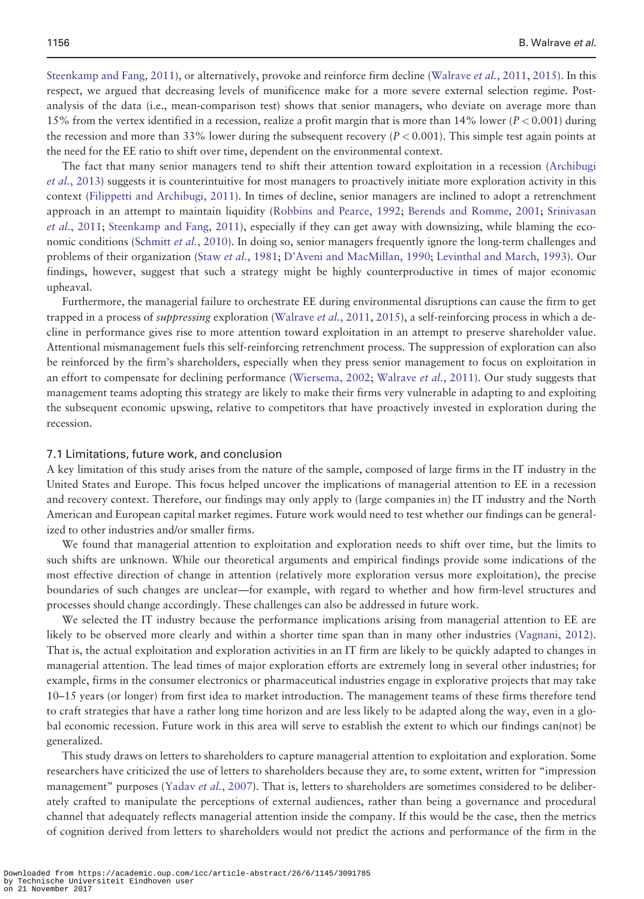[Steenkamp and Fang, 2011\)](#page-14-0), or alternatively, provoke and reinforce firm decline [\(Walrave](#page-14-0) et al., 2011, [2015\)](#page-14-0). In this respect, we argued that decreasing levels of munificence make for a more severe external selection regime. Postanalysis of the data (i.e., mean-comparison test) shows that senior managers, who deviate on average more than 15% from the vertex identified in a recession, realize a profit margin that is more than 14% lower ( $P < 0.001$ ) during the recession and more than 33% lower during the subsequent recovery  $(P < 0.001)$ . This simple test again points at the need for the EE ratio to shift over time, dependent on the environmental context.

The fact that many senior managers tend to shift their attention toward exploitation in a recession ([Archibugi](#page-12-0) et al.[, 2013\)](#page-12-0) suggests it is counterintuitive for most managers to proactively initiate more exploration activity in this context [\(Filippetti and Archibugi, 2011\)](#page-13-0). In times of decline, senior managers are inclined to adopt a retrenchment approach in an attempt to maintain liquidity ([Robbins and Pearce, 1992;](#page-14-0) [Berends and Romme, 2001;](#page-12-0) [Srinivasan](#page-14-0) et al.[, 2011;](#page-14-0) [Steenkamp and Fang, 2011\)](#page-14-0), especially if they can get away with downsizing, while blaming the eco-nomic conditions ([Schmitt](#page-14-0) *et al.*, 2010). In doing so, senior managers frequently ignore the long-term challenges and problems of their organization (Staw et al.[, 1981](#page-14-0); [D'Aveni and MacMillan, 1990;](#page-12-0) [Levinthal and March, 1993](#page-13-0)). Our findings, however, suggest that such a strategy might be highly counterproductive in times of major economic upheaval.

Furthermore, the managerial failure to orchestrate EE during environmental disruptions can cause the firm to get trapped in a process of *suppressing* exploration ([Walrave](#page-14-0) et al., 2011, [2015](#page-14-0)), a self-reinforcing process in which a decline in performance gives rise to more attention toward exploitation in an attempt to preserve shareholder value. Attentional mismanagement fuels this self-reinforcing retrenchment process. The suppression of exploration can also be reinforced by the firm's shareholders, especially when they press senior management to focus on exploitation in an effort to compensate for declining performance [\(Wiersema, 2002](#page-15-0); [Walrave](#page-14-0) et al., 2011). Our study suggests that management teams adopting this strategy are likely to make their firms very vulnerable in adapting to and exploiting the subsequent economic upswing, relative to competitors that have proactively invested in exploration during the recession.

#### 7.1 Limitations, future work, and conclusion

A key limitation of this study arises from the nature of the sample, composed of large firms in the IT industry in the United States and Europe. This focus helped uncover the implications of managerial attention to EE in a recession and recovery context. Therefore, our findings may only apply to (large companies in) the IT industry and the North American and European capital market regimes. Future work would need to test whether our findings can be generalized to other industries and/or smaller firms.

We found that managerial attention to exploitation and exploration needs to shift over time, but the limits to such shifts are unknown. While our theoretical arguments and empirical findings provide some indications of the most effective direction of change in attention (relatively more exploration versus more exploitation), the precise boundaries of such changes are unclear—for example, with regard to whether and how firm-level structures and processes should change accordingly. These challenges can also be addressed in future work.

We selected the IT industry because the performance implications arising from managerial attention to EE are likely to be observed more clearly and within a shorter time span than in many other industries [\(Vagnani, 2012](#page-14-0)). That is, the actual exploitation and exploration activities in an IT firm are likely to be quickly adapted to changes in managerial attention. The lead times of major exploration efforts are extremely long in several other industries; for example, firms in the consumer electronics or pharmaceutical industries engage in explorative projects that may take 10–15 years (or longer) from first idea to market introduction. The management teams of these firms therefore tend to craft strategies that have a rather long time horizon and are less likely to be adapted along the way, even in a global economic recession. Future work in this area will serve to establish the extent to which our findings can(not) be generalized.

This study draws on letters to shareholders to capture managerial attention to exploitation and exploration. Some researchers have criticized the use of letters to shareholders because they are, to some extent, written for "impression management" purposes (Yadav et al.[, 2007\)](#page-15-0). That is, letters to shareholders are sometimes considered to be deliberately crafted to manipulate the perceptions of external audiences, rather than being a governance and procedural channel that adequately reflects managerial attention inside the company. If this would be the case, then the metrics of cognition derived from letters to shareholders would not predict the actions and performance of the firm in the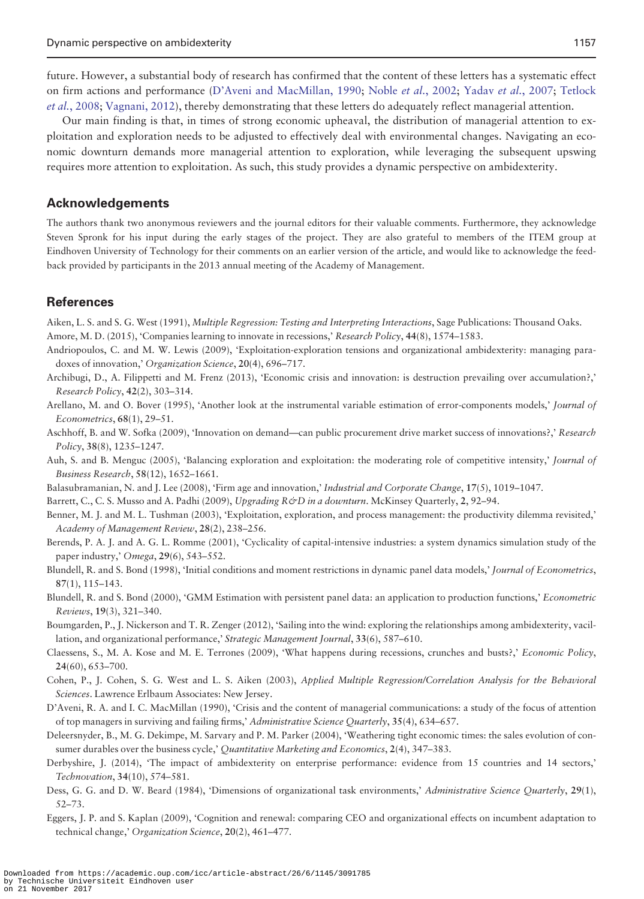<span id="page-12-0"></span>future. However, a substantial body of research has confirmed that the content of these letters has a systematic effect on firm actions and performance (D'Aveni and MacMillan, 1990; Noble et al.[, 2002](#page-13-0); Yadav et al.[, 2007;](#page-15-0) [Tetlock](#page-14-0) et al.[, 2008](#page-14-0); [Vagnani, 2012\)](#page-14-0), thereby demonstrating that these letters do adequately reflect managerial attention.

Our main finding is that, in times of strong economic upheaval, the distribution of managerial attention to exploitation and exploration needs to be adjusted to effectively deal with environmental changes. Navigating an economic downturn demands more managerial attention to exploration, while leveraging the subsequent upswing requires more attention to exploitation. As such, this study provides a dynamic perspective on ambidexterity.

#### Acknowledgements

The authors thank two anonymous reviewers and the journal editors for their valuable comments. Furthermore, they acknowledge Steven Spronk for his input during the early stages of the project. They are also grateful to members of the ITEM group at Eindhoven University of Technology for their comments on an earlier version of the article, and would like to acknowledge the feedback provided by participants in the 2013 annual meeting of the Academy of Management.

# **References**

Aiken, L. S. and S. G. West (1991), *Multiple Regression: Testing and Interpreting Interactions*, Sage Publications: Thousand Oaks. Amore, M. D. (2015), 'Companies learning to innovate in recessions,' Research Policy, 44(8), 1574–1583.

Andriopoulos, C. and M. W. Lewis (2009), 'Exploitation-exploration tensions and organizational ambidexterity: managing paradoxes of innovation,' Organization Science, 20(4), 696-717.

Archibugi, D., A. Filippetti and M. Frenz (2013), 'Economic crisis and innovation: is destruction prevailing over accumulation?,' Research Policy, 42(2), 303–314.

Arellano, M. and O. Bover (1995), 'Another look at the instrumental variable estimation of error-components models,' Journal of Econometrics, 68(1), 29–51.

Aschhoff, B. and W. Sofka (2009), 'Innovation on demand—can public procurement drive market success of innovations?,' Research Policy, 38(8), 1235–1247.

Auh, S. and B. Menguc (2005), 'Balancing exploration and exploitation: the moderating role of competitive intensity,' Journal of Business Research, 58(12), 1652–1661.

Balasubramanian, N. and J. Lee (2008), 'Firm age and innovation,' Industrial and Corporate Change, 17(5), 1019–1047.

Barrett, C., C. S. Musso and A. Padhi (2009), Upgrading R&D in a downturn. McKinsey Quarterly, 2, 92-94.

Benner, M. J. and M. L. Tushman (2003), 'Exploitation, exploration, and process management: the productivity dilemma revisited,' Academy of Management Review, 28(2), 238–256.

Berends, P. A. J. and A. G. L. Romme (2001), 'Cyclicality of capital-intensive industries: a system dynamics simulation study of the paper industry,' Omega, 29(6), 543-552.

Blundell, R. and S. Bond (1998), 'Initial conditions and moment restrictions in dynamic panel data models,' Journal of Econometrics, 87(1), 115–143.

Blundell, R. and S. Bond (2000), 'GMM Estimation with persistent panel data: an application to production functions,' Econometric Reviews, 19(3), 321–340.

- Boumgarden, P., J. Nickerson and T. R. Zenger (2012), 'Sailing into the wind: exploring the relationships among ambidexterity, vacillation, and organizational performance,' Strategic Management Journal, 33(6), 587-610.
- Claessens, S., M. A. Kose and M. E. Terrones (2009), 'What happens during recessions, crunches and busts?,' Economic Policy, 24(60), 653–700.

Cohen, P., J. Cohen, S. G. West and L. S. Aiken (2003), Applied Multiple Regression/Correlation Analysis for the Behavioral Sciences. Lawrence Erlbaum Associates: New Jersey.

D'Aveni, R. A. and I. C. MacMillan (1990), 'Crisis and the content of managerial communications: a study of the focus of attention of top managers in surviving and failing firms,' Administrative Science Quarterly, 35(4), 634–657.

Deleersnyder, B., M. G. Dekimpe, M. Sarvary and P. M. Parker (2004), 'Weathering tight economic times: the sales evolution of consumer durables over the business cycle,' Quantitative Marketing and Economics, 2(4), 347-383.

Derbyshire, J. (2014), 'The impact of ambidexterity on enterprise performance: evidence from 15 countries and 14 sectors,' Technovation, 34(10), 574–581.

Dess, G. G. and D. W. Beard (1984), 'Dimensions of organizational task environments,' Administrative Science Quarterly, 29(1), 52–73.

Eggers, J. P. and S. Kaplan (2009), 'Cognition and renewal: comparing CEO and organizational effects on incumbent adaptation to technical change,' Organization Science, 20(2), 461–477.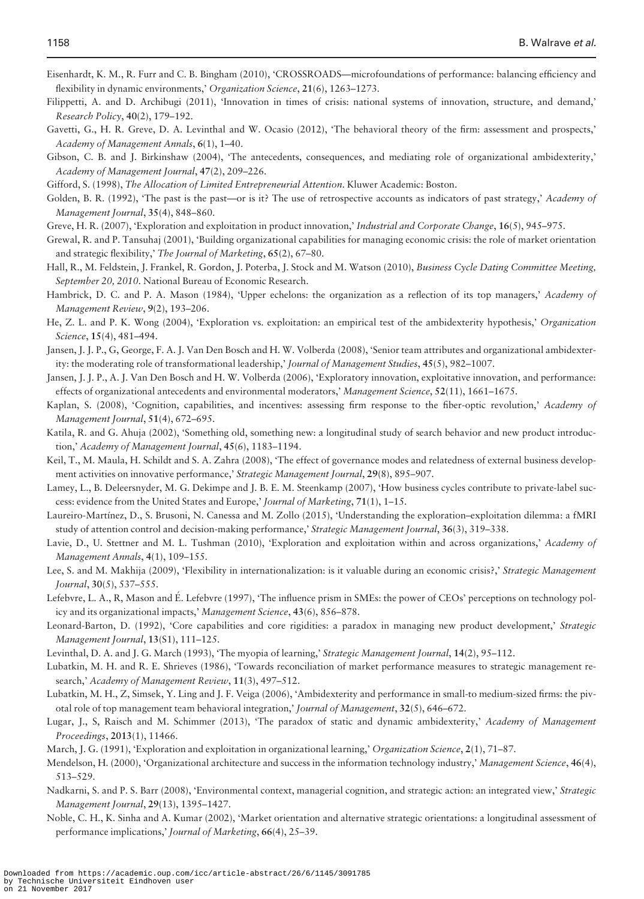- <span id="page-13-0"></span>Eisenhardt, K. M., R. Furr and C. B. Bingham (2010), 'CROSSROADS—microfoundations of performance: balancing efficiency and flexibility in dynamic environments,' Organization Science, 21(6), 1263-1273.
- Filippetti, A. and D. Archibugi (2011), 'Innovation in times of crisis: national systems of innovation, structure, and demand,' Research Policy, 40(2), 179–192.
- Gavetti, G., H. R. Greve, D. A. Levinthal and W. Ocasio (2012), 'The behavioral theory of the firm: assessment and prospects,' Academy of Management Annals, 6(1), 1–40.

Gibson, C. B. and J. Birkinshaw (2004), 'The antecedents, consequences, and mediating role of organizational ambidexterity,' Academy of Management Journal, 47(2), 209–226.

Gifford, S. (1998), The Allocation of Limited Entrepreneurial Attention. Kluwer Academic: Boston.

Golden, B. R. (1992), 'The past is the past—or is it? The use of retrospective accounts as indicators of past strategy,' Academy of Management Journal, 35(4), 848–860.

Greve, H. R. (2007), 'Exploration and exploitation in product innovation,' Industrial and Corporate Change, 16(5), 945-975.

Grewal, R. and P. Tansuhaj (2001), 'Building organizational capabilities for managing economic crisis: the role of market orientation and strategic flexibility,' The Journal of Marketing, 65(2), 67–80.

- Hall, R., M. Feldstein, J. Frankel, R. Gordon, J. Poterba, J. Stock and M. Watson (2010), Business Cycle Dating Committee Meeting, September 20, 2010. National Bureau of Economic Research.
- Hambrick, D. C. and P. A. Mason (1984), 'Upper echelons: the organization as a reflection of its top managers,' Academy of Management Review, 9(2), 193–206.
- He, Z. L. and P. K. Wong (2004), 'Exploration vs. exploitation: an empirical test of the ambidexterity hypothesis,' Organization Science, 15(4), 481–494.
- Jansen, J. J. P., G, George, F. A. J. Van Den Bosch and H. W. Volberda (2008), 'Senior team attributes and organizational ambidexterity: the moderating role of transformational leadership,' Journal of Management Studies, 45(5), 982-1007.
- Jansen, J. J. P., A. J. Van Den Bosch and H. W. Volberda (2006), 'Exploratory innovation, exploitative innovation, and performance: effects of organizational antecedents and environmental moderators,' Management Science, 52(11), 1661–1675.
- Kaplan, S. (2008), 'Cognition, capabilities, and incentives: assessing firm response to the fiber-optic revolution,' Academy of Management Journal, 51(4), 672–695.
- Katila, R. and G. Ahuja (2002), 'Something old, something new: a longitudinal study of search behavior and new product introduction,' Academy of Management Journal, 45(6), 1183–1194.
- Keil, T., M. Maula, H. Schildt and S. A. Zahra (2008), 'The effect of governance modes and relatedness of external business development activities on innovative performance,' Strategic Management Journal, 29(8), 895-907.
- Lamey, L., B. Deleersnyder, M. G. Dekimpe and J. B. E. M. Steenkamp (2007), 'How business cycles contribute to private-label success: evidence from the United States and Europe,' Journal of Marketing, 71(1), 1–15.
- Laureiro-Martínez, D., S. Brusoni, N. Canessa and M. Zollo (2015), 'Understanding the exploration–exploitation dilemma: a fMRI study of attention control and decision-making performance,' Strategic Management Journal, 36(3), 319–338.
- Lavie, D., U. Stettner and M. L. Tushman (2010), 'Exploration and exploitation within and across organizations,' Academy of Management Annals, 4(1), 109–155.
- Lee, S. and M. Makhija (2009), 'Flexibility in internationalization: is it valuable during an economic crisis?,' Strategic Management Journal, 30(5), 537–555.

Lefebvre, L. A., R, Mason and E. Lefebvre (1997), 'The influence prism in SMEs: the power of CEOs' perceptions on technology pol- icy and its organizational impacts,' Management Science, 43(6), 856–878.

- Leonard-Barton, D. (1992), 'Core capabilities and core rigidities: a paradox in managing new product development,' Strategic Management Journal, 13(S1), 111–125.
- Levinthal, D. A. and J. G. March (1993), 'The myopia of learning,' Strategic Management Journal, 14(2), 95–112.
- Lubatkin, M. H. and R. E. Shrieves (1986), 'Towards reconciliation of market performance measures to strategic management research,' Academy of Management Review, 11(3), 497-512.
- Lubatkin, M. H., Z, Simsek, Y. Ling and J. F. Veiga (2006), 'Ambidexterity and performance in small-to medium-sized firms: the pivotal role of top management team behavioral integration,' Journal of Management, 32(5), 646–672.

Lugar, J., S. Raisch and M. Schimmer (2013), 'The paradox of static and dynamic ambidexterity,' Academy of Management Proceedings, 2013(1), 11466.

- March, J. G. (1991), 'Exploration and exploitation in organizational learning,' Organization Science, 2(1), 71–87.
- Mendelson, H. (2000), 'Organizational architecture and success in the information technology industry,' Management Science, 46(4), 513–529.
- Nadkarni, S. and P. S. Barr (2008), 'Environmental context, managerial cognition, and strategic action: an integrated view,' Strategic Management Journal, 29(13), 1395–1427.
- Noble, C. H., K. Sinha and A. Kumar (2002), 'Market orientation and alternative strategic orientations: a longitudinal assessment of performance implications,' Journal of Marketing, 66(4), 25–39.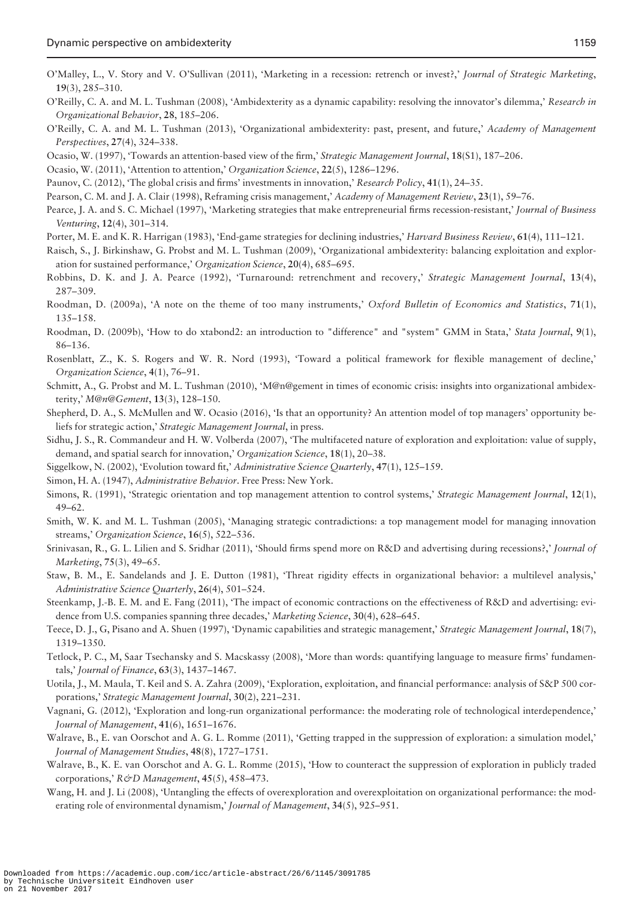- <span id="page-14-0"></span>O'Malley, L., V. Story and V. O'Sullivan (2011), 'Marketing in a recession: retrench or invest?,' Journal of Strategic Marketing, 19(3), 285–310.
- O'Reilly, C. A. and M. L. Tushman (2008), 'Ambidexterity as a dynamic capability: resolving the innovator's dilemma,' Research in Organizational Behavior, 28, 185–206.
- O'Reilly, C. A. and M. L. Tushman (2013), 'Organizational ambidexterity: past, present, and future,' Academy of Management Perspectives, 27(4), 324–338.
- Ocasio, W. (1997), 'Towards an attention-based view of the firm,' Strategic Management Journal, 18(S1), 187–206.
- Ocasio, W. (2011), 'Attention to attention,' Organization Science, 22(5), 1286–1296.
- Paunov, C. (2012), 'The global crisis and firms' investments in innovation,' Research Policy, 41(1), 24–35.
- Pearson, C. M. and J. A. Clair (1998), Reframing crisis management,' Academy of Management Review, 23(1), 59-76.
- Pearce, J. A. and S. C. Michael (1997), 'Marketing strategies that make entrepreneurial firms recession-resistant,' Journal of Business Venturing, 12(4), 301–314.
- Porter, M. E. and K. R. Harrigan (1983), 'End-game strategies for declining industries,' Harvard Business Review, 61(4), 111-121.
- Raisch, S., J. Birkinshaw, G. Probst and M. L. Tushman (2009), 'Organizational ambidexterity: balancing exploitation and exploration for sustained performance,' Organization Science, 20(4), 685–695.
- Robbins, D. K. and J. A. Pearce (1992), 'Turnaround: retrenchment and recovery,' Strategic Management Journal, 13(4), 287–309.
- Roodman, D. (2009a), 'A note on the theme of too many instruments,' Oxford Bulletin of Economics and Statistics, 71(1), 135–158.
- Roodman, D. (2009b), 'How to do xtabond2: an introduction to "difference" and "system" GMM in Stata,' Stata Journal, 9(1), 86–136.
- Rosenblatt, Z., K. S. Rogers and W. R. Nord (1993), 'Toward a political framework for flexible management of decline,' Organization Science, 4(1), 76–91.
- Schmitt, A., G. Probst and M. L. Tushman (2010), 'M@n@gement in times of economic crisis: insights into organizational ambidexterity,' M@n@Gement, 13(3), 128–150.
- Shepherd, D. A., S. McMullen and W. Ocasio (2016), 'Is that an opportunity? An attention model of top managers' opportunity beliefs for strategic action,' Strategic Management Journal, in press.
- Sidhu, J. S., R. Commandeur and H. W. Volberda (2007), 'The multifaceted nature of exploration and exploitation: value of supply, demand, and spatial search for innovation,' Organization Science, 18(1), 20-38.
- Siggelkow, N. (2002), 'Evolution toward fit,' Administrative Science Quarterly, 47(1), 125–159.

Simon, H. A. (1947), Administrative Behavior. Free Press: New York.

- Simons, R. (1991), 'Strategic orientation and top management attention to control systems,' Strategic Management Journal, 12(1), 49–62.
- Smith, W. K. and M. L. Tushman (2005), 'Managing strategic contradictions: a top management model for managing innovation streams,' Organization Science, 16(5), 522–536.
- Srinivasan, R., G. L. Lilien and S. Sridhar (2011), 'Should firms spend more on R&D and advertising during recessions?,' Journal of Marketing, 75(3), 49–65.
- Staw, B. M., E. Sandelands and J. E. Dutton (1981), 'Threat rigidity effects in organizational behavior: a multilevel analysis,' Administrative Science Quarterly, 26(4), 501–524.
- Steenkamp, J.-B. E. M. and E. Fang (2011), 'The impact of economic contractions on the effectiveness of R&D and advertising: evidence from U.S. companies spanning three decades,' Marketing Science, 30(4), 628-645.
- Teece, D. J., G, Pisano and A. Shuen (1997), 'Dynamic capabilities and strategic management,' Strategic Management Journal, 18(7), 1319–1350.
- Tetlock, P. C., M, Saar Tsechansky and S. Macskassy (2008), 'More than words: quantifying language to measure firms' fundamentals,' Journal of Finance, 63(3), 1437–1467.
- Uotila, J., M. Maula, T. Keil and S. A. Zahra (2009), 'Exploration, exploitation, and financial performance: analysis of S&P 500 corporations,' Strategic Management Journal, 30(2), 221–231.
- Vagnani, G. (2012), 'Exploration and long-run organizational performance: the moderating role of technological interdependence,' Journal of Management, 41(6), 1651–1676.
- Walrave, B., E. van Oorschot and A. G. L. Romme (2011), 'Getting trapped in the suppression of exploration: a simulation model,' Journal of Management Studies, 48(8), 1727–1751.
- Walrave, B., K. E. van Oorschot and A. G. L. Romme (2015), 'How to counteract the suppression of exploration in publicly traded corporations,' R&D Management, 45(5), 458-473.
- Wang, H. and J. Li (2008), 'Untangling the effects of overexploration and overexploitation on organizational performance: the moderating role of environmental dynamism,' Journal of Management, 34(5), 925–951.